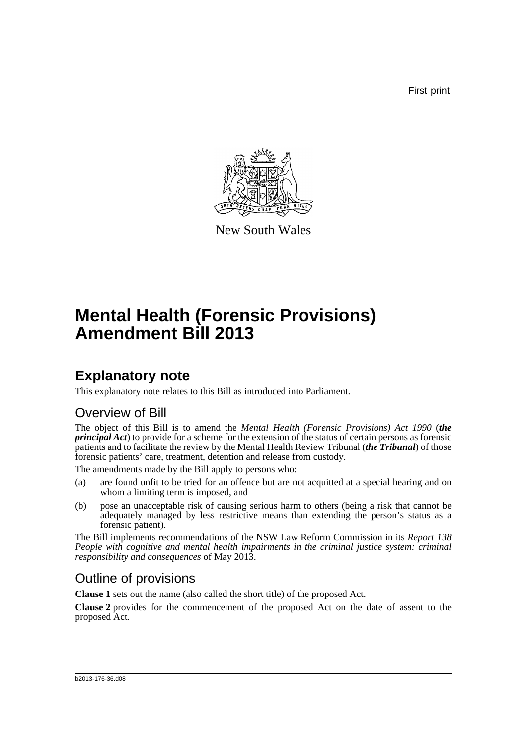First print



New South Wales

# **Mental Health (Forensic Provisions) Amendment Bill 2013**

## **Explanatory note**

This explanatory note relates to this Bill as introduced into Parliament.

### Overview of Bill

The object of this Bill is to amend the *Mental Health (Forensic Provisions) Act 1990* (*the principal Act*) to provide for a scheme for the extension of the status of certain persons as forensic patients and to facilitate the review by the Mental Health Review Tribunal (*the Tribunal*) of those forensic patients' care, treatment, detention and release from custody.

The amendments made by the Bill apply to persons who:

- (a) are found unfit to be tried for an offence but are not acquitted at a special hearing and on whom a limiting term is imposed, and
- (b) pose an unacceptable risk of causing serious harm to others (being a risk that cannot be adequately managed by less restrictive means than extending the person's status as a forensic patient).

The Bill implements recommendations of the NSW Law Reform Commission in its *Report 138 People with cognitive and mental health impairments in the criminal justice system: criminal responsibility and consequences* of May 2013.

## Outline of provisions

**Clause 1** sets out the name (also called the short title) of the proposed Act.

**Clause 2** provides for the commencement of the proposed Act on the date of assent to the proposed Act.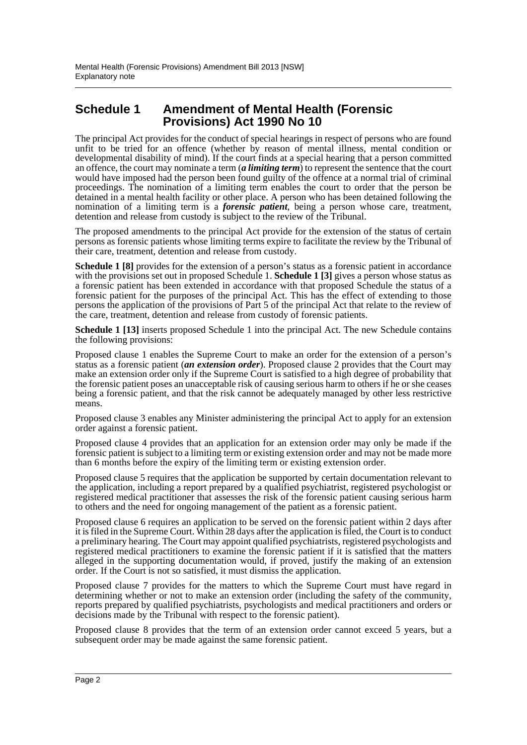#### **Schedule 1 Amendment of Mental Health (Forensic Provisions) Act 1990 No 10**

The principal Act provides for the conduct of special hearings in respect of persons who are found unfit to be tried for an offence (whether by reason of mental illness, mental condition or developmental disability of mind). If the court finds at a special hearing that a person committed an offence, the court may nominate a term (*a limiting term*) to represent the sentence that the court would have imposed had the person been found guilty of the offence at a normal trial of criminal proceedings. The nomination of a limiting term enables the court to order that the person be detained in a mental health facility or other place. A person who has been detained following the nomination of a limiting term is a *forensic patient*, being a person whose care, treatment, detention and release from custody is subject to the review of the Tribunal.

The proposed amendments to the principal Act provide for the extension of the status of certain persons as forensic patients whose limiting terms expire to facilitate the review by the Tribunal of their care, treatment, detention and release from custody.

**Schedule 1 [8]** provides for the extension of a person's status as a forensic patient in accordance with the provisions set out in proposed Schedule 1. **Schedule 1** [3] gives a person whose status as a forensic patient has been extended in accordance with that proposed Schedule the status of a forensic patient for the purposes of the principal Act. This has the effect of extending to those persons the application of the provisions of Part 5 of the principal Act that relate to the review of the care, treatment, detention and release from custody of forensic patients.

**Schedule 1 [13]** inserts proposed Schedule 1 into the principal Act. The new Schedule contains the following provisions:

Proposed clause 1 enables the Supreme Court to make an order for the extension of a person's status as a forensic patient (*an extension order*). Proposed clause 2 provides that the Court may make an extension order only if the Supreme Court is satisfied to a high degree of probability that the forensic patient poses an unacceptable risk of causing serious harm to others if he or she ceases being a forensic patient, and that the risk cannot be adequately managed by other less restrictive means.

Proposed clause 3 enables any Minister administering the principal Act to apply for an extension order against a forensic patient.

Proposed clause 4 provides that an application for an extension order may only be made if the forensic patient is subject to a limiting term or existing extension order and may not be made more than 6 months before the expiry of the limiting term or existing extension order.

Proposed clause 5 requires that the application be supported by certain documentation relevant to the application, including a report prepared by a qualified psychiatrist, registered psychologist or registered medical practitioner that assesses the risk of the forensic patient causing serious harm to others and the need for ongoing management of the patient as a forensic patient.

Proposed clause 6 requires an application to be served on the forensic patient within 2 days after it is filed in the Supreme Court. Within 28 days after the application is filed, the Court is to conduct a preliminary hearing. The Court may appoint qualified psychiatrists, registered psychologists and registered medical practitioners to examine the forensic patient if it is satisfied that the matters alleged in the supporting documentation would, if proved, justify the making of an extension order. If the Court is not so satisfied, it must dismiss the application.

Proposed clause 7 provides for the matters to which the Supreme Court must have regard in determining whether or not to make an extension order (including the safety of the community, reports prepared by qualified psychiatrists, psychologists and medical practitioners and orders or decisions made by the Tribunal with respect to the forensic patient).

Proposed clause 8 provides that the term of an extension order cannot exceed 5 years, but a subsequent order may be made against the same forensic patient.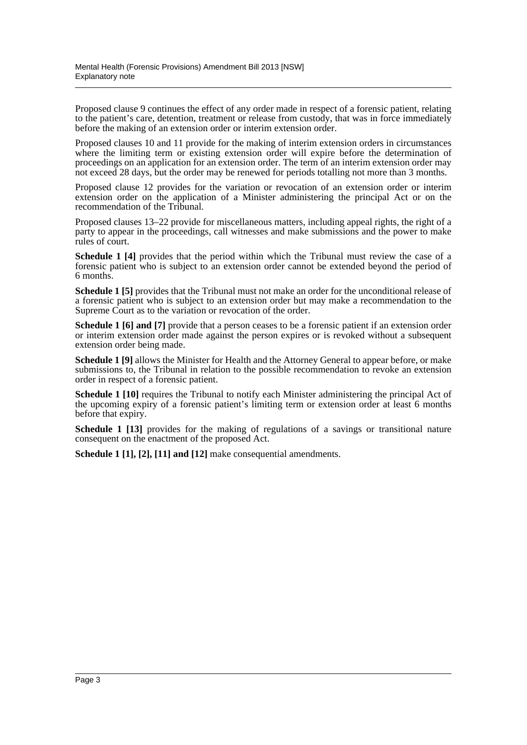Proposed clause 9 continues the effect of any order made in respect of a forensic patient, relating to the patient's care, detention, treatment or release from custody, that was in force immediately before the making of an extension order or interim extension order.

Proposed clauses 10 and 11 provide for the making of interim extension orders in circumstances where the limiting term or existing extension order will expire before the determination of proceedings on an application for an extension order. The term of an interim extension order may not exceed 28 days, but the order may be renewed for periods totalling not more than 3 months.

Proposed clause 12 provides for the variation or revocation of an extension order or interim extension order on the application of a Minister administering the principal Act or on the recommendation of the Tribunal.

Proposed clauses 13–22 provide for miscellaneous matters, including appeal rights, the right of a party to appear in the proceedings, call witnesses and make submissions and the power to make rules of court.

**Schedule 1 [4]** provides that the period within which the Tribunal must review the case of a forensic patient who is subject to an extension order cannot be extended beyond the period of 6 months.

**Schedule 1 [5]** provides that the Tribunal must not make an order for the unconditional release of a forensic patient who is subject to an extension order but may make a recommendation to the Supreme Court as to the variation or revocation of the order.

**Schedule 1 [6] and [7]** provide that a person ceases to be a forensic patient if an extension order or interim extension order made against the person expires or is revoked without a subsequent extension order being made.

**Schedule 1 [9]** allows the Minister for Health and the Attorney General to appear before, or make submissions to, the Tribunal in relation to the possible recommendation to revoke an extension order in respect of a forensic patient.

**Schedule 1 [10]** requires the Tribunal to notify each Minister administering the principal Act of the upcoming expiry of a forensic patient's limiting term or extension order at least 6 months before that expiry.

**Schedule 1 [13]** provides for the making of regulations of a savings or transitional nature consequent on the enactment of the proposed Act.

**Schedule 1 [1], [2], [11] and [12]** make consequential amendments.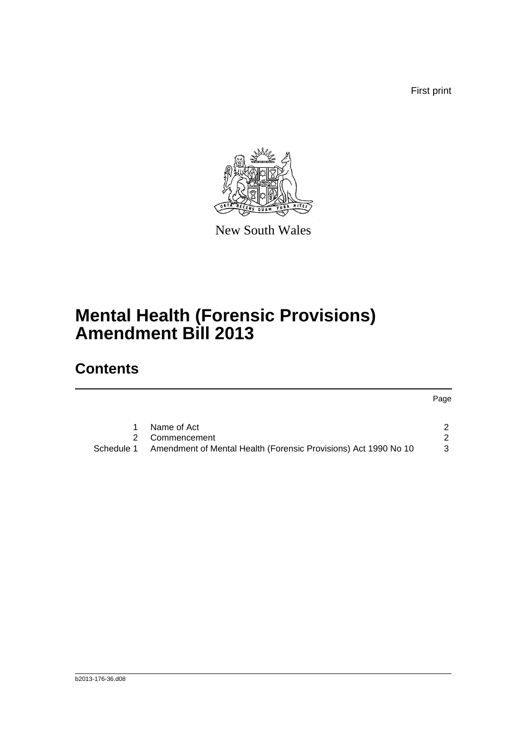First print



New South Wales

# **Mental Health (Forensic Provisions) Amendment Bill 2013**

## **Contents**

#### Page

|            | Name of Act                                                     |  |
|------------|-----------------------------------------------------------------|--|
|            | 2 Commencement                                                  |  |
| Schedule 1 | Amendment of Mental Health (Forensic Provisions) Act 1990 No 10 |  |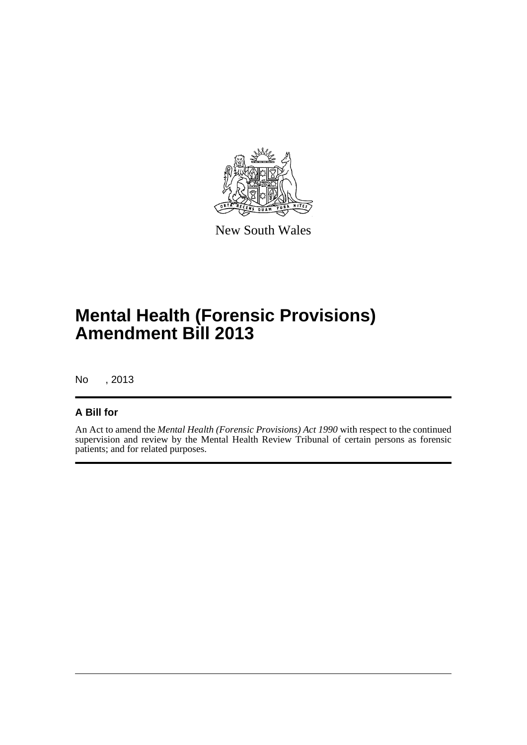

New South Wales

## **Mental Health (Forensic Provisions) Amendment Bill 2013**

No , 2013

#### **A Bill for**

An Act to amend the *Mental Health (Forensic Provisions) Act 1990* with respect to the continued supervision and review by the Mental Health Review Tribunal of certain persons as forensic patients; and for related purposes.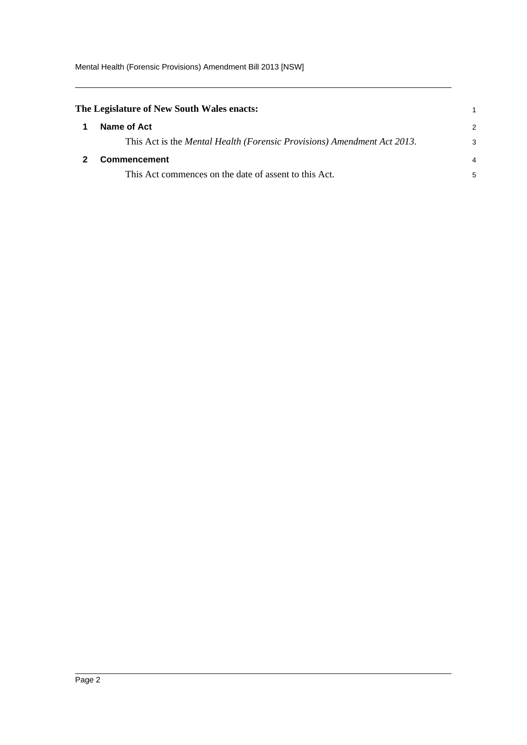<span id="page-5-1"></span><span id="page-5-0"></span>

| The Legislature of New South Wales enacts:                              |               |
|-------------------------------------------------------------------------|---------------|
| Name of Act                                                             | $\mathcal{P}$ |
| This Act is the Mental Health (Forensic Provisions) Amendment Act 2013. | 3             |
| <b>Commencement</b>                                                     | 4             |
| This Act commences on the date of assent to this Act.                   | 5             |
|                                                                         |               |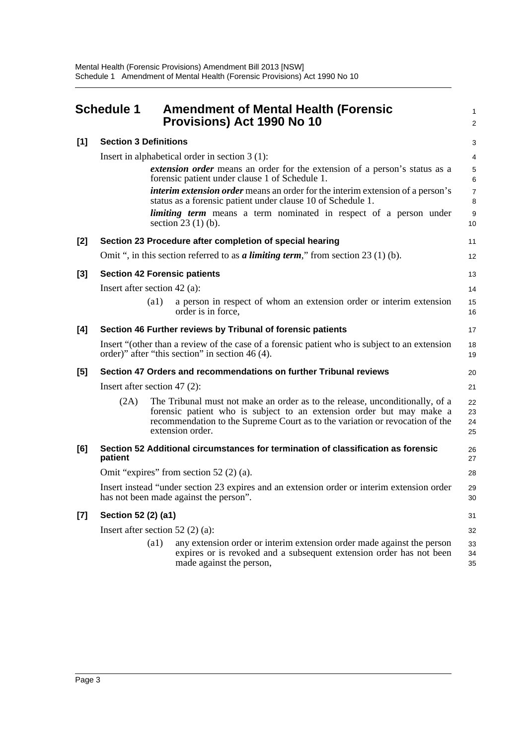<span id="page-6-0"></span>

|       | <b>Schedule 1</b>                                                                                                                    |                                              | <b>Amendment of Mental Health (Forensic</b><br>Provisions) Act 1990 No 10                                                                                                                                                                                | 1<br>$\overline{a}$  |  |  |
|-------|--------------------------------------------------------------------------------------------------------------------------------------|----------------------------------------------|----------------------------------------------------------------------------------------------------------------------------------------------------------------------------------------------------------------------------------------------------------|----------------------|--|--|
| $[1]$ | <b>Section 3 Definitions</b>                                                                                                         |                                              |                                                                                                                                                                                                                                                          | 3                    |  |  |
|       |                                                                                                                                      |                                              | Insert in alphabetical order in section $3(1)$ :                                                                                                                                                                                                         | 4                    |  |  |
|       |                                                                                                                                      |                                              | <i>extension order</i> means an order for the extension of a person's status as a<br>forensic patient under clause 1 of Schedule 1.                                                                                                                      | 5<br>6               |  |  |
|       |                                                                                                                                      |                                              | <i>interim extension order</i> means an order for the interim extension of a person's<br>status as a forensic patient under clause 10 of Schedule 1.                                                                                                     | $\overline{7}$<br>8  |  |  |
|       |                                                                                                                                      |                                              | <i>limiting term</i> means a term nominated in respect of a person under<br>section $23(1)(b)$ .                                                                                                                                                         | 9<br>10              |  |  |
| $[2]$ |                                                                                                                                      |                                              | Section 23 Procedure after completion of special hearing                                                                                                                                                                                                 | 11                   |  |  |
|       |                                                                                                                                      |                                              | Omit ", in this section referred to as a <i>limiting term</i> ," from section 23 (1) (b).                                                                                                                                                                | 12                   |  |  |
| $[3]$ |                                                                                                                                      |                                              | <b>Section 42 Forensic patients</b>                                                                                                                                                                                                                      | 13                   |  |  |
|       | Insert after section $42$ (a):                                                                                                       |                                              |                                                                                                                                                                                                                                                          | 14                   |  |  |
|       |                                                                                                                                      | $\left( a1\right)$                           | a person in respect of whom an extension order or interim extension<br>order is in force.                                                                                                                                                                | 15<br>16             |  |  |
| [4]   |                                                                                                                                      |                                              | Section 46 Further reviews by Tribunal of forensic patients                                                                                                                                                                                              | 17                   |  |  |
|       |                                                                                                                                      |                                              | Insert "(other than a review of the case of a forensic patient who is subject to an extension<br>order)" after "this section" in section 46 (4).                                                                                                         | 18<br>19             |  |  |
| [5]   |                                                                                                                                      |                                              | Section 47 Orders and recommendations on further Tribunal reviews                                                                                                                                                                                        | 20                   |  |  |
|       | Insert after section 47 $(2)$ :                                                                                                      |                                              |                                                                                                                                                                                                                                                          | 21                   |  |  |
|       | (2A)                                                                                                                                 |                                              | The Tribunal must not make an order as to the release, unconditionally, of a<br>forensic patient who is subject to an extension order but may make a<br>recommendation to the Supreme Court as to the variation or revocation of the<br>extension order. | 22<br>23<br>24<br>25 |  |  |
| [6]   | patient                                                                                                                              |                                              | Section 52 Additional circumstances for termination of classification as forensic                                                                                                                                                                        | 26<br>27             |  |  |
|       |                                                                                                                                      | Omit "expires" from section 52 $(2)$ $(a)$ . |                                                                                                                                                                                                                                                          |                      |  |  |
|       | Insert instead "under section 23 expires and an extension order or interim extension order<br>has not been made against the person". |                                              |                                                                                                                                                                                                                                                          | 29<br>30             |  |  |
| $[7]$ | Section 52 (2) (a1)                                                                                                                  |                                              |                                                                                                                                                                                                                                                          | 31                   |  |  |
|       |                                                                                                                                      |                                              | Insert after section 52 $(2)$ $(a)$ :                                                                                                                                                                                                                    | 32                   |  |  |
|       |                                                                                                                                      | $\left( a1\right)$                           | any extension order or interim extension order made against the person<br>expires or is revoked and a subsequent extension order has not been<br>made against the person,                                                                                | 33<br>34<br>35       |  |  |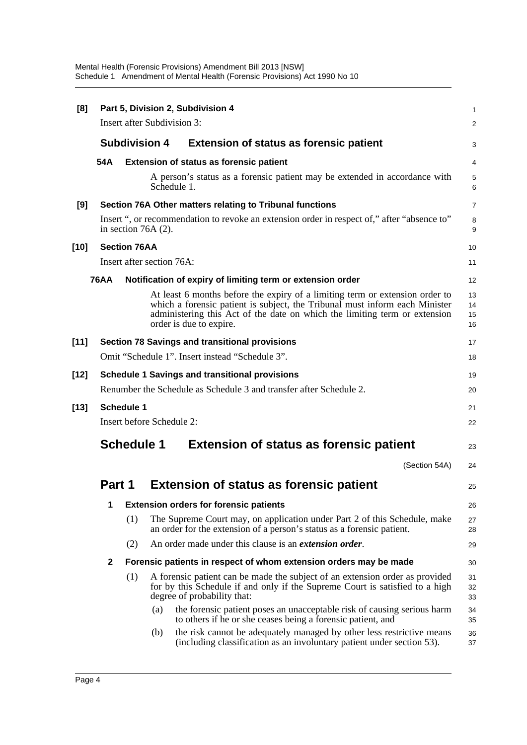| [8]    |                                 |                     |                           | Part 5, Division 2, Subdivision 4                                                                                                                                                                                                                                    | 1                    |  |  |
|--------|---------------------------------|---------------------|---------------------------|----------------------------------------------------------------------------------------------------------------------------------------------------------------------------------------------------------------------------------------------------------------------|----------------------|--|--|
|        |                                 |                     |                           | <b>Insert after Subdivision 3:</b>                                                                                                                                                                                                                                   | $\overline{c}$       |  |  |
|        |                                 |                     | <b>Subdivision 4</b>      | <b>Extension of status as forensic patient</b>                                                                                                                                                                                                                       | 3                    |  |  |
|        | 54A                             |                     |                           | Extension of status as forensic patient                                                                                                                                                                                                                              | 4                    |  |  |
|        |                                 |                     |                           | A person's status as a forensic patient may be extended in accordance with<br>Schedule 1.                                                                                                                                                                            | 5<br>6               |  |  |
| [9]    |                                 |                     |                           | Section 76A Other matters relating to Tribunal functions                                                                                                                                                                                                             | 7                    |  |  |
|        |                                 |                     | in section $76A(2)$ .     | Insert ", or recommendation to revoke an extension order in respect of," after "absence to"                                                                                                                                                                          | 8<br>9               |  |  |
| [10]   |                                 | <b>Section 76AA</b> |                           |                                                                                                                                                                                                                                                                      | 10                   |  |  |
|        |                                 |                     | Insert after section 76A: |                                                                                                                                                                                                                                                                      | 11                   |  |  |
|        | <b>76AA</b>                     |                     |                           | Notification of expiry of limiting term or extension order                                                                                                                                                                                                           | 12                   |  |  |
|        |                                 |                     |                           | At least 6 months before the expiry of a limiting term or extension order to<br>which a forensic patient is subject, the Tribunal must inform each Minister<br>administering this Act of the date on which the limiting term or extension<br>order is due to expire. | 13<br>14<br>15<br>16 |  |  |
| $[11]$ |                                 |                     |                           | <b>Section 78 Savings and transitional provisions</b>                                                                                                                                                                                                                | 17                   |  |  |
|        |                                 |                     |                           | Omit "Schedule 1". Insert instead "Schedule 3".                                                                                                                                                                                                                      | 18                   |  |  |
| [12]   |                                 |                     |                           | <b>Schedule 1 Savings and transitional provisions</b>                                                                                                                                                                                                                | 19                   |  |  |
|        |                                 |                     |                           | Renumber the Schedule as Schedule 3 and transfer after Schedule 2.                                                                                                                                                                                                   | 20                   |  |  |
| $[13]$ |                                 | <b>Schedule 1</b>   |                           |                                                                                                                                                                                                                                                                      | 21                   |  |  |
|        | Insert before Schedule 2:<br>22 |                     |                           |                                                                                                                                                                                                                                                                      |                      |  |  |
|        |                                 | <b>Schedule 1</b>   |                           | <b>Extension of status as forensic patient</b>                                                                                                                                                                                                                       | 23                   |  |  |
|        |                                 |                     |                           | (Section 54A)                                                                                                                                                                                                                                                        | 24                   |  |  |
|        | Part 1                          |                     |                           | <b>Extension of status as forensic patient</b>                                                                                                                                                                                                                       | 25                   |  |  |
|        | 1                               |                     |                           | <b>Extension orders for forensic patients</b>                                                                                                                                                                                                                        | 26                   |  |  |
|        |                                 | (1)                 |                           | The Supreme Court may, on application under Part 2 of this Schedule, make<br>an order for the extension of a person's status as a forensic patient.                                                                                                                  | 27<br>28             |  |  |
|        |                                 | (2)                 |                           | An order made under this clause is an <i>extension order</i> .                                                                                                                                                                                                       | 29                   |  |  |
|        | $\mathbf{2}$                    |                     |                           | Forensic patients in respect of whom extension orders may be made                                                                                                                                                                                                    | 30                   |  |  |
|        |                                 | (1)                 |                           | A forensic patient can be made the subject of an extension order as provided<br>for by this Schedule if and only if the Supreme Court is satisfied to a high<br>degree of probability that:                                                                          | 31<br>32<br>33       |  |  |
|        |                                 |                     | (a)                       | the forensic patient poses an unacceptable risk of causing serious harm<br>to others if he or she ceases being a forensic patient, and                                                                                                                               | 34<br>35             |  |  |
|        |                                 |                     | (b)                       | the risk cannot be adequately managed by other less restrictive means<br>(including classification as an involuntary patient under section 53).                                                                                                                      | 36<br>37             |  |  |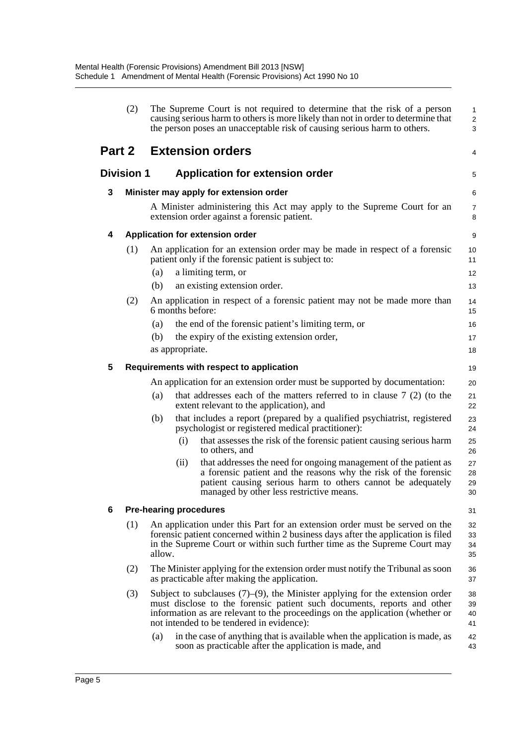|                                               | (2)               | The Supreme Court is not required to determine that the risk of a person<br>causing serious harm to others is more likely than not in order to determine that<br>the person poses an unacceptable risk of causing serious harm to others.                                                    | $\mathbf{1}$<br>2<br>3 |
|-----------------------------------------------|-------------------|----------------------------------------------------------------------------------------------------------------------------------------------------------------------------------------------------------------------------------------------------------------------------------------------|------------------------|
| Part 2                                        |                   | <b>Extension orders</b>                                                                                                                                                                                                                                                                      | 4                      |
|                                               | <b>Division 1</b> | <b>Application for extension order</b>                                                                                                                                                                                                                                                       | 5                      |
| 3                                             |                   | Minister may apply for extension order                                                                                                                                                                                                                                                       | 6                      |
|                                               |                   | A Minister administering this Act may apply to the Supreme Court for an<br>extension order against a forensic patient.                                                                                                                                                                       | $\overline{7}$<br>8    |
| 4                                             |                   | <b>Application for extension order</b>                                                                                                                                                                                                                                                       | 9                      |
|                                               | (1)               | An application for an extension order may be made in respect of a forensic<br>patient only if the forensic patient is subject to:                                                                                                                                                            | 10<br>11               |
|                                               |                   | (a)<br>a limiting term, or                                                                                                                                                                                                                                                                   | 12                     |
|                                               |                   | (b)<br>an existing extension order.                                                                                                                                                                                                                                                          | 13                     |
|                                               | (2)               | An application in respect of a forensic patient may not be made more than<br>6 months before:                                                                                                                                                                                                | 14<br>15               |
|                                               |                   | the end of the forensic patient's limiting term, or<br>(a)                                                                                                                                                                                                                                   | 16                     |
|                                               |                   | (b)<br>the expiry of the existing extension order,                                                                                                                                                                                                                                           | 17                     |
|                                               |                   | as appropriate.                                                                                                                                                                                                                                                                              | 18                     |
| 5<br>Requirements with respect to application |                   |                                                                                                                                                                                                                                                                                              |                        |
|                                               |                   | An application for an extension order must be supported by documentation:                                                                                                                                                                                                                    | 20                     |
|                                               |                   | that addresses each of the matters referred to in clause $7(2)$ (to the<br>(a)<br>extent relevant to the application), and                                                                                                                                                                   | 21<br>22               |
|                                               |                   | (b)<br>that includes a report (prepared by a qualified psychiatrist, registered<br>psychologist or registered medical practitioner):                                                                                                                                                         | 23<br>24               |
|                                               |                   | that assesses the risk of the forensic patient causing serious harm<br>(i)<br>to others, and                                                                                                                                                                                                 | 25<br>26               |
|                                               |                   | that addresses the need for ongoing management of the patient as<br>(ii)<br>a forensic patient and the reasons why the risk of the forensic<br>patient causing serious harm to others cannot be adequately<br>managed by other less restrictive means.                                       | 27<br>28<br>29<br>30   |
| 6                                             |                   | <b>Pre-hearing procedures</b>                                                                                                                                                                                                                                                                | 31                     |
|                                               | (1)               | An application under this Part for an extension order must be served on the<br>forensic patient concerned within 2 business days after the application is filed<br>in the Supreme Court or within such further time as the Supreme Court may<br>allow.                                       | 32<br>33<br>34<br>35   |
|                                               | (2)               | The Minister applying for the extension order must notify the Tribunal as soon<br>as practicable after making the application.                                                                                                                                                               | 36<br>37               |
|                                               | (3)               | Subject to subclauses $(7)$ – $(9)$ , the Minister applying for the extension order<br>must disclose to the forensic patient such documents, reports and other<br>information as are relevant to the proceedings on the application (whether or<br>not intended to be tendered in evidence): | 38<br>39<br>40<br>41   |
|                                               |                   | in the case of anything that is available when the application is made, as<br>(a)<br>soon as practicable after the application is made, and                                                                                                                                                  | 42<br>43               |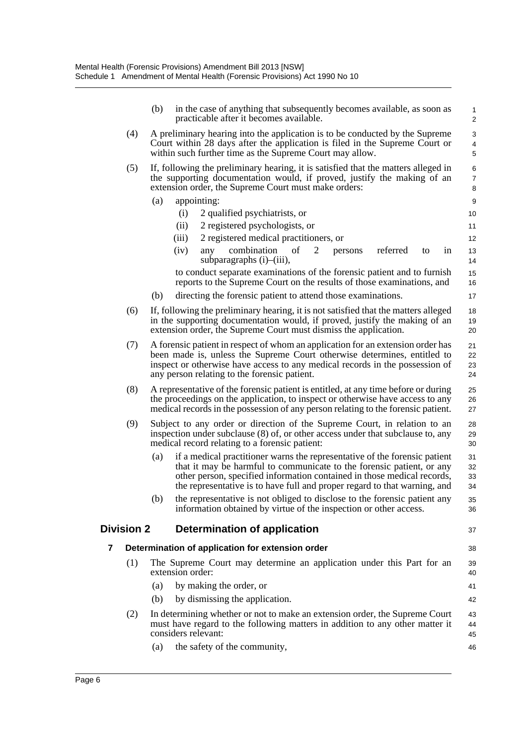|                                                                                                                                                                                                                                                                                                                                                                                                                                                                                                                                                                        |                   | (b) | in the case of anything that subsequently becomes available, as soon as<br>practicable after it becomes available.                                                                                                                                                                                          | 1<br>2                   |
|------------------------------------------------------------------------------------------------------------------------------------------------------------------------------------------------------------------------------------------------------------------------------------------------------------------------------------------------------------------------------------------------------------------------------------------------------------------------------------------------------------------------------------------------------------------------|-------------------|-----|-------------------------------------------------------------------------------------------------------------------------------------------------------------------------------------------------------------------------------------------------------------------------------------------------------------|--------------------------|
|                                                                                                                                                                                                                                                                                                                                                                                                                                                                                                                                                                        | (4)               |     | A preliminary hearing into the application is to be conducted by the Supreme<br>Court within 28 days after the application is filed in the Supreme Court or<br>within such further time as the Supreme Court may allow.                                                                                     | 3<br>4<br>5              |
|                                                                                                                                                                                                                                                                                                                                                                                                                                                                                                                                                                        | (5)               |     | If, following the preliminary hearing, it is satisfied that the matters alleged in<br>the supporting documentation would, if proved, justify the making of an<br>extension order, the Supreme Court must make orders:                                                                                       | 6<br>$\overline{7}$<br>8 |
|                                                                                                                                                                                                                                                                                                                                                                                                                                                                                                                                                                        |                   | (a) | appointing:                                                                                                                                                                                                                                                                                                 | 9                        |
|                                                                                                                                                                                                                                                                                                                                                                                                                                                                                                                                                                        |                   |     | (i)<br>2 qualified psychiatrists, or                                                                                                                                                                                                                                                                        | 10                       |
|                                                                                                                                                                                                                                                                                                                                                                                                                                                                                                                                                                        |                   |     | (ii)<br>2 registered psychologists, or                                                                                                                                                                                                                                                                      | 11                       |
|                                                                                                                                                                                                                                                                                                                                                                                                                                                                                                                                                                        |                   |     | (iii)<br>2 registered medical practitioners, or                                                                                                                                                                                                                                                             | 12                       |
|                                                                                                                                                                                                                                                                                                                                                                                                                                                                                                                                                                        |                   |     | (iv)<br>combination<br>of<br>2<br>referred<br>in<br>persons<br>to<br>any<br>subparagraphs $(i)$ – $(iii)$ ,                                                                                                                                                                                                 | 13<br>14                 |
|                                                                                                                                                                                                                                                                                                                                                                                                                                                                                                                                                                        |                   |     | to conduct separate examinations of the forensic patient and to furnish<br>reports to the Supreme Court on the results of those examinations, and                                                                                                                                                           | 15<br>16                 |
|                                                                                                                                                                                                                                                                                                                                                                                                                                                                                                                                                                        |                   | (b) | directing the forensic patient to attend those examinations.                                                                                                                                                                                                                                                | 17                       |
|                                                                                                                                                                                                                                                                                                                                                                                                                                                                                                                                                                        | (6)               |     | If, following the preliminary hearing, it is not satisfied that the matters alleged<br>in the supporting documentation would, if proved, justify the making of an<br>extension order, the Supreme Court must dismiss the application.                                                                       | 18<br>19<br>20           |
| (7)<br>A forensic patient in respect of whom an application for an extension order has<br>been made is, unless the Supreme Court otherwise determines, entitled to<br>inspect or otherwise have access to any medical records in the possession of<br>any person relating to the forensic patient.<br>(8)<br>A representative of the forensic patient is entitled, at any time before or during<br>the proceedings on the application, to inspect or otherwise have access to any<br>medical records in the possession of any person relating to the forensic patient. |                   |     |                                                                                                                                                                                                                                                                                                             | 21<br>22<br>23<br>24     |
|                                                                                                                                                                                                                                                                                                                                                                                                                                                                                                                                                                        |                   |     |                                                                                                                                                                                                                                                                                                             | 25<br>26<br>27           |
|                                                                                                                                                                                                                                                                                                                                                                                                                                                                                                                                                                        | (9)               |     | Subject to any order or direction of the Supreme Court, in relation to an<br>inspection under subclause (8) of, or other access under that subclause to, any<br>medical record relating to a forensic patient:                                                                                              | 28<br>29<br>30           |
|                                                                                                                                                                                                                                                                                                                                                                                                                                                                                                                                                                        |                   | (a) | if a medical practitioner warns the representative of the forensic patient<br>that it may be harmful to communicate to the forensic patient, or any<br>other person, specified information contained in those medical records,<br>the representative is to have full and proper regard to that warning, and | 31<br>32<br>33<br>34     |
|                                                                                                                                                                                                                                                                                                                                                                                                                                                                                                                                                                        |                   | (b) | the representative is not obliged to disclose to the forensic patient any<br>information obtained by virtue of the inspection or other access.                                                                                                                                                              | 35<br>36                 |
|                                                                                                                                                                                                                                                                                                                                                                                                                                                                                                                                                                        | <b>Division 2</b> |     | Determination of application                                                                                                                                                                                                                                                                                | 37                       |
| 7                                                                                                                                                                                                                                                                                                                                                                                                                                                                                                                                                                      |                   |     | Determination of application for extension order                                                                                                                                                                                                                                                            | 38                       |
|                                                                                                                                                                                                                                                                                                                                                                                                                                                                                                                                                                        | (1)               |     | The Supreme Court may determine an application under this Part for an<br>extension order:                                                                                                                                                                                                                   | 39<br>40                 |
|                                                                                                                                                                                                                                                                                                                                                                                                                                                                                                                                                                        |                   | (a) | by making the order, or                                                                                                                                                                                                                                                                                     | 41                       |
|                                                                                                                                                                                                                                                                                                                                                                                                                                                                                                                                                                        |                   | (b) | by dismissing the application.                                                                                                                                                                                                                                                                              | 42                       |
|                                                                                                                                                                                                                                                                                                                                                                                                                                                                                                                                                                        | (2)               |     | In determining whether or not to make an extension order, the Supreme Court<br>must have regard to the following matters in addition to any other matter it<br>considers relevant:                                                                                                                          | 43<br>44<br>45           |
|                                                                                                                                                                                                                                                                                                                                                                                                                                                                                                                                                                        |                   | (a) | the safety of the community,                                                                                                                                                                                                                                                                                | 46                       |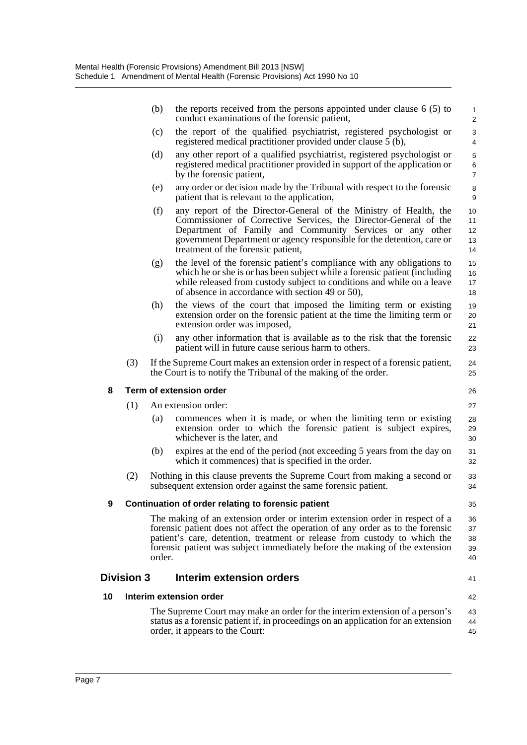|    |                   | (b)    | the reports received from the persons appointed under clause $6(5)$ to<br>conduct examinations of the forensic patient,                                                                                                                                                                                                   | $\mathbf{1}$<br>2          |
|----|-------------------|--------|---------------------------------------------------------------------------------------------------------------------------------------------------------------------------------------------------------------------------------------------------------------------------------------------------------------------------|----------------------------|
|    |                   | (c)    | the report of the qualified psychiatrist, registered psychologist or<br>registered medical practitioner provided under clause 5 (b),                                                                                                                                                                                      | 3<br>4                     |
|    |                   | (d)    | any other report of a qualified psychiatrist, registered psychologist or<br>registered medical practitioner provided in support of the application or<br>by the forensic patient,                                                                                                                                         | 5<br>6<br>$\overline{7}$   |
|    |                   | (e)    | any order or decision made by the Tribunal with respect to the forensic<br>patient that is relevant to the application,                                                                                                                                                                                                   | 8<br>9                     |
|    |                   | (f)    | any report of the Director-General of the Ministry of Health, the<br>Commissioner of Corrective Services, the Director-General of the<br>Department of Family and Community Services or any other<br>government Department or agency responsible for the detention, care or<br>treatment of the forensic patient,         | 10<br>11<br>12<br>13<br>14 |
|    |                   | (g)    | the level of the forensic patient's compliance with any obligations to<br>which he or she is or has been subject while a forensic patient (including<br>while released from custody subject to conditions and while on a leave<br>of absence in accordance with section 49 or 50),                                        | 15<br>16<br>17<br>18       |
|    |                   | (h)    | the views of the court that imposed the limiting term or existing<br>extension order on the forensic patient at the time the limiting term or<br>extension order was imposed,                                                                                                                                             | 19<br>20<br>21             |
|    |                   | (i)    | any other information that is available as to the risk that the forensic<br>patient will in future cause serious harm to others.                                                                                                                                                                                          | 22<br>23                   |
|    | (3)               |        | If the Supreme Court makes an extension order in respect of a forensic patient,<br>the Court is to notify the Tribunal of the making of the order.                                                                                                                                                                        | 24<br>25                   |
| 8  |                   |        | <b>Term of extension order</b>                                                                                                                                                                                                                                                                                            | 26                         |
|    | (1)               |        | An extension order:                                                                                                                                                                                                                                                                                                       | 27                         |
|    |                   | (a)    | commences when it is made, or when the limiting term or existing<br>extension order to which the forensic patient is subject expires,<br>whichever is the later, and                                                                                                                                                      | 28<br>29<br>30             |
|    |                   | (b)    | expires at the end of the period (not exceeding 5 years from the day on<br>which it commences) that is specified in the order.                                                                                                                                                                                            | 31<br>32                   |
|    | (2)               |        | Nothing in this clause prevents the Supreme Court from making a second or<br>subsequent extension order against the same forensic patient.                                                                                                                                                                                | 33<br>34                   |
| 9  |                   |        | Continuation of order relating to forensic patient                                                                                                                                                                                                                                                                        | 35                         |
|    |                   | order. | The making of an extension order or interim extension order in respect of a<br>forensic patient does not affect the operation of any order as to the forensic<br>patient's care, detention, treatment or release from custody to which the<br>forensic patient was subject immediately before the making of the extension | 36<br>37<br>38<br>39<br>40 |
|    | <b>Division 3</b> |        | Interim extension orders                                                                                                                                                                                                                                                                                                  | 41                         |
| 10 |                   |        | Interim extension order                                                                                                                                                                                                                                                                                                   | 42                         |
|    |                   |        | The Supreme Court may make an order for the interim extension of a person's<br>status as a forensic patient if, in proceedings on an application for an extension<br>order, it appears to the Court:                                                                                                                      | 43<br>44<br>45             |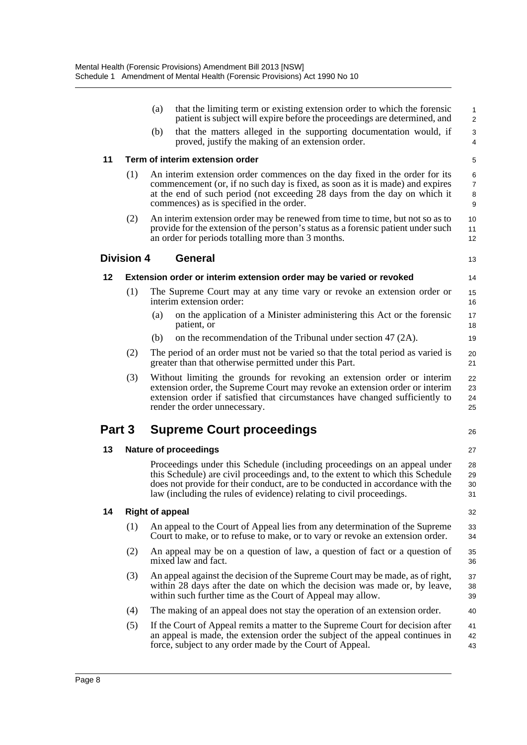|        |                        | (a)<br>that the limiting term or existing extension order to which the forensic<br>patient is subject will expire before the proceedings are determined, and                                                                                                                                                          | $\mathbf{1}$<br>2             |  |  |  |  |
|--------|------------------------|-----------------------------------------------------------------------------------------------------------------------------------------------------------------------------------------------------------------------------------------------------------------------------------------------------------------------|-------------------------------|--|--|--|--|
|        |                        | (b)<br>that the matters alleged in the supporting documentation would, if<br>proved, justify the making of an extension order.                                                                                                                                                                                        | 3<br>4                        |  |  |  |  |
| 11     |                        | Term of interim extension order                                                                                                                                                                                                                                                                                       | 5                             |  |  |  |  |
|        | (1)                    | An interim extension order commences on the day fixed in the order for its<br>commencement (or, if no such day is fixed, as soon as it is made) and expires<br>at the end of such period (not exceeding 28 days from the day on which it<br>commences) as is specified in the order.                                  | 6<br>$\overline{7}$<br>8<br>9 |  |  |  |  |
|        | (2)                    | An interim extension order may be renewed from time to time, but not so as to<br>provide for the extension of the person's status as a forensic patient under such<br>an order for periods totalling more than 3 months.                                                                                              | 10<br>11<br>12                |  |  |  |  |
|        | <b>Division 4</b>      | <b>General</b>                                                                                                                                                                                                                                                                                                        | 13                            |  |  |  |  |
| 12     |                        | Extension order or interim extension order may be varied or revoked                                                                                                                                                                                                                                                   | 14                            |  |  |  |  |
|        | (1)                    | The Supreme Court may at any time vary or revoke an extension order or<br>interim extension order:                                                                                                                                                                                                                    | 15<br>16                      |  |  |  |  |
|        |                        | on the application of a Minister administering this Act or the forensic<br>(a)<br>patient, or                                                                                                                                                                                                                         | 17<br>18                      |  |  |  |  |
|        |                        | on the recommendation of the Tribunal under section 47 (2A).<br>(b)                                                                                                                                                                                                                                                   | 19                            |  |  |  |  |
|        | (2)                    | The period of an order must not be varied so that the total period as varied is<br>greater than that otherwise permitted under this Part.                                                                                                                                                                             | 20<br>21                      |  |  |  |  |
|        | (3)                    | Without limiting the grounds for revoking an extension order or interim<br>extension order, the Supreme Court may revoke an extension order or interim<br>extension order if satisfied that circumstances have changed sufficiently to<br>render the order unnecessary.                                               | 22<br>23<br>24<br>25          |  |  |  |  |
| Part 3 |                        | <b>Supreme Court proceedings</b>                                                                                                                                                                                                                                                                                      | 26                            |  |  |  |  |
| 13     |                        | <b>Nature of proceedings</b>                                                                                                                                                                                                                                                                                          | 27                            |  |  |  |  |
|        |                        | Proceedings under this Schedule (including proceedings on an appeal under<br>this Schedule) are civil proceedings and, to the extent to which this Schedule<br>does not provide for their conduct, are to be conducted in accordance with the<br>law (including the rules of evidence) relating to civil proceedings. | 28<br>29<br>30<br>31          |  |  |  |  |
| 14     | <b>Right of appeal</b> |                                                                                                                                                                                                                                                                                                                       |                               |  |  |  |  |
|        | (1)                    | An appeal to the Court of Appeal lies from any determination of the Supreme<br>Court to make, or to refuse to make, or to vary or revoke an extension order.                                                                                                                                                          | 33<br>34                      |  |  |  |  |
|        | (2)                    | An appeal may be on a question of law, a question of fact or a question of<br>mixed law and fact.                                                                                                                                                                                                                     | 35<br>36                      |  |  |  |  |
|        | (3)                    | An appeal against the decision of the Supreme Court may be made, as of right,<br>within 28 days after the date on which the decision was made or, by leave,<br>within such further time as the Court of Appeal may allow.                                                                                             | 37<br>38<br>39                |  |  |  |  |
|        | (4)                    | The making of an appeal does not stay the operation of an extension order.                                                                                                                                                                                                                                            | 40                            |  |  |  |  |
|        | (5)                    | If the Court of Appeal remits a matter to the Supreme Court for decision after<br>an appeal is made, the extension order the subject of the appeal continues in<br>force, subject to any order made by the Court of Appeal.                                                                                           | 41<br>42<br>43                |  |  |  |  |
|        |                        |                                                                                                                                                                                                                                                                                                                       |                               |  |  |  |  |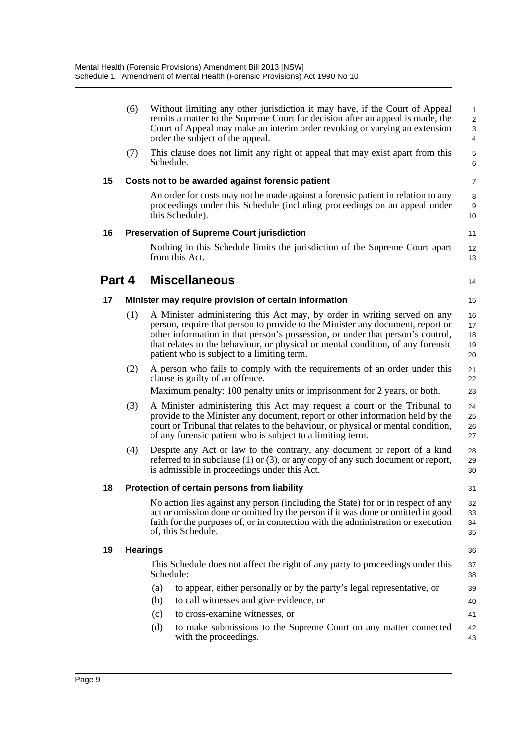|        | (6)             |                                                                                                                                                                                  | Without limiting any other jurisdiction it may have, if the Court of Appeal<br>remits a matter to the Supreme Court for decision after an appeal is made, the<br>Court of Appeal may make an interim order revoking or varying an extension<br>order the subject of the appeal.                                                                                               | $\mathbf{1}$<br>$\overline{2}$<br>3<br>4 |  |
|--------|-----------------|----------------------------------------------------------------------------------------------------------------------------------------------------------------------------------|-------------------------------------------------------------------------------------------------------------------------------------------------------------------------------------------------------------------------------------------------------------------------------------------------------------------------------------------------------------------------------|------------------------------------------|--|
|        | (7)             | Schedule.                                                                                                                                                                        | This clause does not limit any right of appeal that may exist apart from this                                                                                                                                                                                                                                                                                                 | $\mathbf 5$<br>6                         |  |
| 15     |                 |                                                                                                                                                                                  | Costs not to be awarded against forensic patient                                                                                                                                                                                                                                                                                                                              | 7                                        |  |
|        |                 | An order for costs may not be made against a forensic patient in relation to any<br>proceedings under this Schedule (including proceedings on an appeal under<br>this Schedule). |                                                                                                                                                                                                                                                                                                                                                                               |                                          |  |
| 16     |                 |                                                                                                                                                                                  | <b>Preservation of Supreme Court jurisdiction</b>                                                                                                                                                                                                                                                                                                                             | 11                                       |  |
|        |                 | from this Act.                                                                                                                                                                   | Nothing in this Schedule limits the jurisdiction of the Supreme Court apart                                                                                                                                                                                                                                                                                                   | 12<br>13                                 |  |
| Part 4 |                 |                                                                                                                                                                                  | <b>Miscellaneous</b>                                                                                                                                                                                                                                                                                                                                                          | 14                                       |  |
| 17     |                 |                                                                                                                                                                                  | Minister may require provision of certain information                                                                                                                                                                                                                                                                                                                         | 15                                       |  |
|        | (1)             |                                                                                                                                                                                  | A Minister administering this Act may, by order in writing served on any<br>person, require that person to provide to the Minister any document, report or<br>other information in that person's possession, or under that person's control,<br>that relates to the behaviour, or physical or mental condition, of any forensic<br>patient who is subject to a limiting term. | 16<br>17<br>18<br>19<br>20               |  |
|        | (2)             |                                                                                                                                                                                  | A person who fails to comply with the requirements of an order under this<br>clause is guilty of an offence.<br>Maximum penalty: 100 penalty units or imprisonment for 2 years, or both.                                                                                                                                                                                      | 21<br>22<br>23                           |  |
|        | (3)             |                                                                                                                                                                                  | A Minister administering this Act may request a court or the Tribunal to<br>provide to the Minister any document, report or other information held by the<br>court or Tribunal that relates to the behaviour, or physical or mental condition,<br>of any forensic patient who is subject to a limiting term.                                                                  | 24<br>25<br>26<br>27                     |  |
|        | (4)             |                                                                                                                                                                                  | Despite any Act or law to the contrary, any document or report of a kind<br>referred to in subclause $(1)$ or $(3)$ , or any copy of any such document or report,<br>is admissible in proceedings under this Act.                                                                                                                                                             | 28<br>29<br>30                           |  |
| 18     |                 |                                                                                                                                                                                  | Protection of certain persons from liability                                                                                                                                                                                                                                                                                                                                  | 31                                       |  |
|        |                 |                                                                                                                                                                                  | No action lies against any person (including the State) for or in respect of any<br>act or omission done or omitted by the person if it was done or omitted in good<br>faith for the purposes of, or in connection with the administration or execution<br>of, this Schedule.                                                                                                 | 32<br>33<br>34<br>35                     |  |
| 19     | <b>Hearings</b> |                                                                                                                                                                                  |                                                                                                                                                                                                                                                                                                                                                                               | 36                                       |  |
|        |                 | Schedule:                                                                                                                                                                        | This Schedule does not affect the right of any party to proceedings under this                                                                                                                                                                                                                                                                                                | 37<br>38                                 |  |
|        |                 | (a)                                                                                                                                                                              | to appear, either personally or by the party's legal representative, or                                                                                                                                                                                                                                                                                                       | 39                                       |  |
|        |                 | (b)                                                                                                                                                                              | to call witnesses and give evidence, or                                                                                                                                                                                                                                                                                                                                       | 40                                       |  |
|        |                 | (c)                                                                                                                                                                              | to cross-examine witnesses, or                                                                                                                                                                                                                                                                                                                                                | 41                                       |  |
|        |                 | (d)                                                                                                                                                                              | to make submissions to the Supreme Court on any matter connected<br>with the proceedings.                                                                                                                                                                                                                                                                                     | 42<br>43                                 |  |